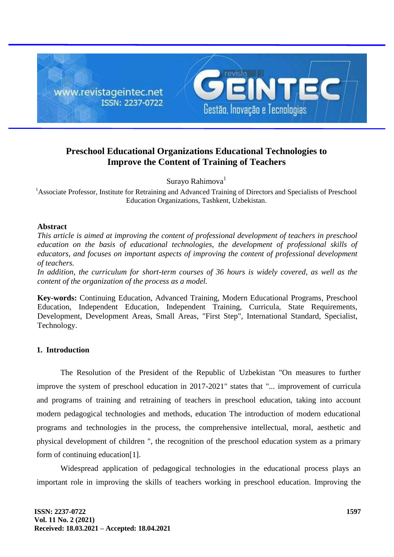

# **Preschool Educational Organizations Educational Technologies to Improve the Content of Training of Teachers**

Surayo Rahimova<sup>1</sup>

<sup>1</sup>Associate Professor, Institute for Retraining and Advanced Training of Directors and Specialists of Preschool Education Organizations, Tashkent, Uzbekistan.

### **Abstract**

*This article is aimed at improving the content of professional development of teachers in preschool education on the basis of educational technologies, the development of professional skills of educators, and focuses on important aspects of improving the content of professional development of teachers.*

*In addition, the curriculum for short-term courses of 36 hours is widely covered, as well as the content of the organization of the process as a model.*

**Key-words:** Continuing Education, Advanced Training, Modern Educational Programs, Preschool Education, Independent Education, Independent Training, Curricula, State Requirements, Development, Development Areas, Small Areas, "First Step", International Standard, Specialist, Technology.

# **1. Introduction**

The Resolution of the President of the Republic of Uzbekistan "On measures to further improve the system of preschool education in 2017-2021" states that "... improvement of curricula and programs of training and retraining of teachers in preschool education, taking into account modern pedagogical technologies and methods, education The introduction of modern educational programs and technologies in the process, the comprehensive intellectual, moral, aesthetic and physical development of children ", the recognition of the preschool education system as a primary form of continuing education[1].

Widespread application of pedagogical technologies in the educational process plays an important role in improving the skills of teachers working in preschool education. Improving the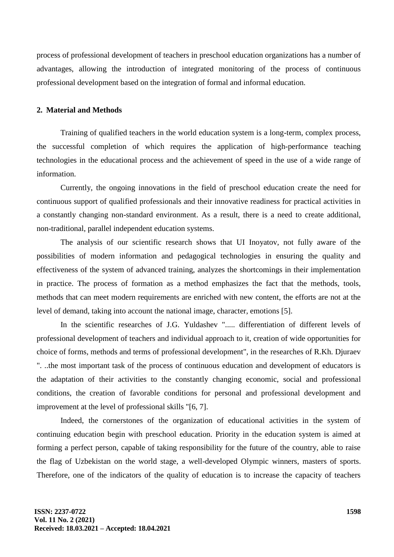process of professional development of teachers in preschool education organizations has a number of advantages, allowing the introduction of integrated monitoring of the process of continuous professional development based on the integration of formal and informal education.

#### **2. Material and Methods**

Training of qualified teachers in the world education system is a long-term, complex process, the successful completion of which requires the application of high-performance teaching technologies in the educational process and the achievement of speed in the use of a wide range of information.

Currently, the ongoing innovations in the field of preschool education create the need for continuous support of qualified professionals and their innovative readiness for practical activities in a constantly changing non-standard environment. As a result, there is a need to create additional, non-traditional, parallel independent education systems.

The analysis of our scientific research shows that UI Inoyatov, not fully aware of the possibilities of modern information and pedagogical technologies in ensuring the quality and effectiveness of the system of advanced training, analyzes the shortcomings in their implementation in practice. The process of formation as a method emphasizes the fact that the methods, tools, methods that can meet modern requirements are enriched with new content, the efforts are not at the level of demand, taking into account the national image, character, emotions [5].

In the scientific researches of J.G. Yuldashev "..... differentiation of different levels of professional development of teachers and individual approach to it, creation of wide opportunities for choice of forms, methods and terms of professional development", in the researches of R.Kh. Djuraev ". ..the most important task of the process of continuous education and development of educators is the adaptation of their activities to the constantly changing economic, social and professional conditions, the creation of favorable conditions for personal and professional development and improvement at the level of professional skills "[6, 7].

Indeed, the cornerstones of the organization of educational activities in the system of continuing education begin with preschool education. Priority in the education system is aimed at forming a perfect person, capable of taking responsibility for the future of the country, able to raise the flag of Uzbekistan on the world stage, a well-developed Olympic winners, masters of sports. Therefore, one of the indicators of the quality of education is to increase the capacity of teachers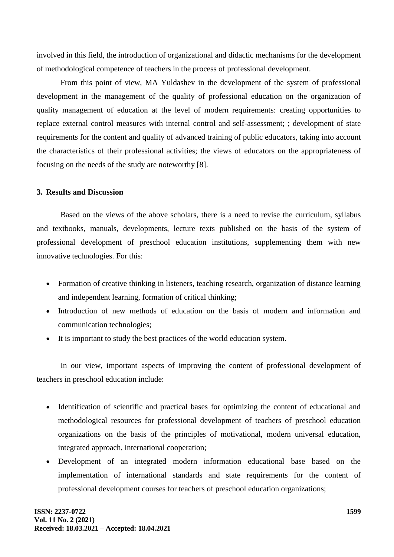involved in this field, the introduction of organizational and didactic mechanisms for the development of methodological competence of teachers in the process of professional development.

From this point of view, MA Yuldashev in the development of the system of professional development in the management of the quality of professional education on the organization of quality management of education at the level of modern requirements: creating opportunities to replace external control measures with internal control and self-assessment; ; development of state requirements for the content and quality of advanced training of public educators, taking into account the characteristics of their professional activities; the views of educators on the appropriateness of focusing on the needs of the study are noteworthy [8].

### **3. Results and Discussion**

Based on the views of the above scholars, there is a need to revise the curriculum, syllabus and textbooks, manuals, developments, lecture texts published on the basis of the system of professional development of preschool education institutions, supplementing them with new innovative technologies. For this:

- Formation of creative thinking in listeners, teaching research, organization of distance learning and independent learning, formation of critical thinking;
- Introduction of new methods of education on the basis of modern and information and communication technologies;
- It is important to study the best practices of the world education system.

In our view, important aspects of improving the content of professional development of teachers in preschool education include:

- Identification of scientific and practical bases for optimizing the content of educational and methodological resources for professional development of teachers of preschool education organizations on the basis of the principles of motivational, modern universal education, integrated approach, international cooperation;
- Development of an integrated modern information educational base based on the implementation of international standards and state requirements for the content of professional development courses for teachers of preschool education organizations;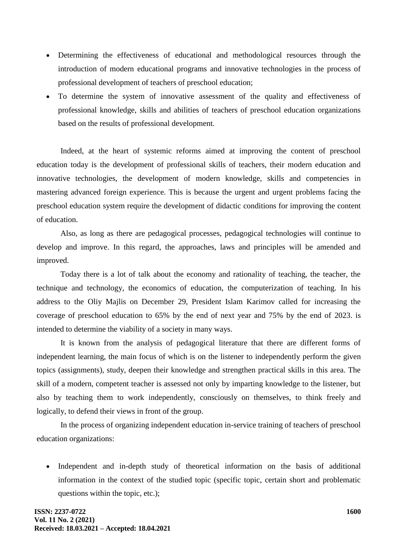- Determining the effectiveness of educational and methodological resources through the introduction of modern educational programs and innovative technologies in the process of professional development of teachers of preschool education;
- To determine the system of innovative assessment of the quality and effectiveness of professional knowledge, skills and abilities of teachers of preschool education organizations based on the results of professional development.

Indeed, at the heart of systemic reforms aimed at improving the content of preschool education today is the development of professional skills of teachers, their modern education and innovative technologies, the development of modern knowledge, skills and competencies in mastering advanced foreign experience. This is because the urgent and urgent problems facing the preschool education system require the development of didactic conditions for improving the content of education.

Also, as long as there are pedagogical processes, pedagogical technologies will continue to develop and improve. In this regard, the approaches, laws and principles will be amended and improved.

Today there is a lot of talk about the economy and rationality of teaching, the teacher, the technique and technology, the economics of education, the computerization of teaching. In his address to the Oliy Majlis on December 29, President Islam Karimov called for increasing the coverage of preschool education to 65% by the end of next year and 75% by the end of 2023. is intended to determine the viability of a society in many ways.

It is known from the analysis of pedagogical literature that there are different forms of independent learning, the main focus of which is on the listener to independently perform the given topics (assignments), study, deepen their knowledge and strengthen practical skills in this area. The skill of a modern, competent teacher is assessed not only by imparting knowledge to the listener, but also by teaching them to work independently, consciously on themselves, to think freely and logically, to defend their views in front of the group.

In the process of organizing independent education in-service training of teachers of preschool education organizations:

 Independent and in-depth study of theoretical information on the basis of additional information in the context of the studied topic (specific topic, certain short and problematic questions within the topic, etc.);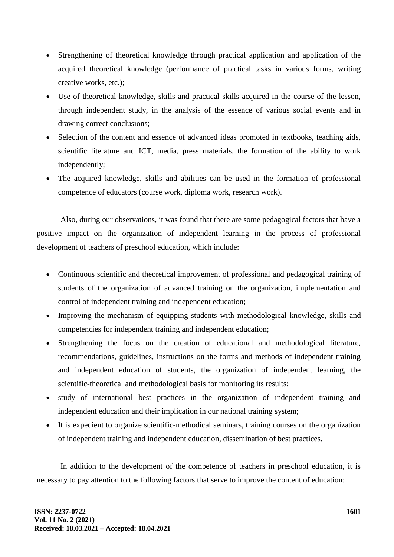- Strengthening of theoretical knowledge through practical application and application of the acquired theoretical knowledge (performance of practical tasks in various forms, writing creative works, etc.);
- Use of theoretical knowledge, skills and practical skills acquired in the course of the lesson, through independent study, in the analysis of the essence of various social events and in drawing correct conclusions;
- Selection of the content and essence of advanced ideas promoted in textbooks, teaching aids, scientific literature and ICT, media, press materials, the formation of the ability to work independently;
- The acquired knowledge, skills and abilities can be used in the formation of professional competence of educators (course work, diploma work, research work).

Also, during our observations, it was found that there are some pedagogical factors that have a positive impact on the organization of independent learning in the process of professional development of teachers of preschool education, which include:

- Continuous scientific and theoretical improvement of professional and pedagogical training of students of the organization of advanced training on the organization, implementation and control of independent training and independent education;
- Improving the mechanism of equipping students with methodological knowledge, skills and competencies for independent training and independent education;
- Strengthening the focus on the creation of educational and methodological literature, recommendations, guidelines, instructions on the forms and methods of independent training and independent education of students, the organization of independent learning, the scientific-theoretical and methodological basis for monitoring its results;
- study of international best practices in the organization of independent training and independent education and their implication in our national training system;
- It is expedient to organize scientific-methodical seminars, training courses on the organization of independent training and independent education, dissemination of best practices.

In addition to the development of the competence of teachers in preschool education, it is necessary to pay attention to the following factors that serve to improve the content of education: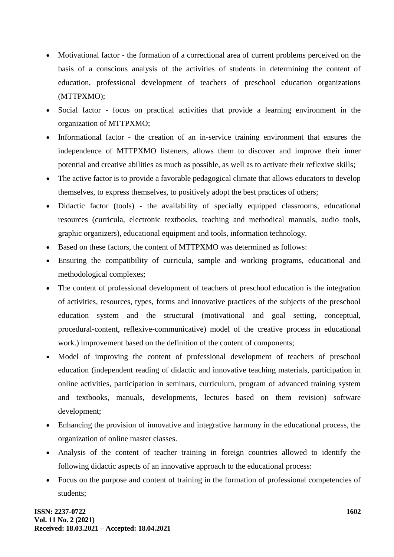- Motivational factor the formation of a correctional area of current problems perceived on the basis of a conscious analysis of the activities of students in determining the content of education, professional development of teachers of preschool education organizations (MTTPXMO);
- Social factor focus on practical activities that provide a learning environment in the organization of MTTPXMO;
- Informational factor the creation of an in-service training environment that ensures the independence of MTTPXMO listeners, allows them to discover and improve their inner potential and creative abilities as much as possible, as well as to activate their reflexive skills;
- The active factor is to provide a favorable pedagogical climate that allows educators to develop themselves, to express themselves, to positively adopt the best practices of others;
- Didactic factor (tools) the availability of specially equipped classrooms, educational resources (curricula, electronic textbooks, teaching and methodical manuals, audio tools, graphic organizers), educational equipment and tools, information technology.
- Based on these factors, the content of MTTPXMO was determined as follows:
- Ensuring the compatibility of curricula, sample and working programs, educational and methodological complexes;
- The content of professional development of teachers of preschool education is the integration of activities, resources, types, forms and innovative practices of the subjects of the preschool education system and the structural (motivational and goal setting, conceptual, procedural-content, reflexive-communicative) model of the creative process in educational work.) improvement based on the definition of the content of components;
- Model of improving the content of professional development of teachers of preschool education (independent reading of didactic and innovative teaching materials, participation in online activities, participation in seminars, curriculum, program of advanced training system and textbooks, manuals, developments, lectures based on them revision) software development;
- Enhancing the provision of innovative and integrative harmony in the educational process, the organization of online master classes.
- Analysis of the content of teacher training in foreign countries allowed to identify the following didactic aspects of an innovative approach to the educational process:
- Focus on the purpose and content of training in the formation of professional competencies of students;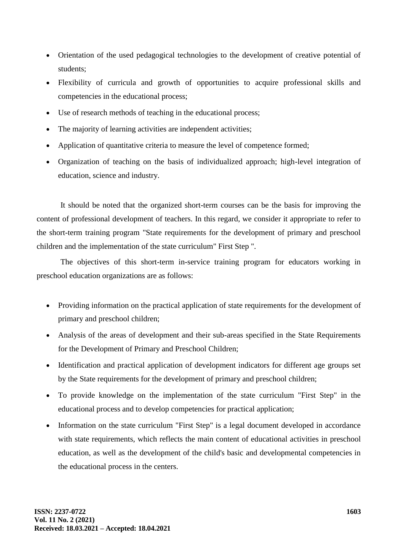- Orientation of the used pedagogical technologies to the development of creative potential of students;
- Flexibility of curricula and growth of opportunities to acquire professional skills and competencies in the educational process;
- Use of research methods of teaching in the educational process;
- The majority of learning activities are independent activities;
- Application of quantitative criteria to measure the level of competence formed;
- Organization of teaching on the basis of individualized approach; high-level integration of education, science and industry.

It should be noted that the organized short-term courses can be the basis for improving the content of professional development of teachers. In this regard, we consider it appropriate to refer to the short-term training program "State requirements for the development of primary and preschool children and the implementation of the state curriculum" First Step ".

The objectives of this short-term in-service training program for educators working in preschool education organizations are as follows:

- Providing information on the practical application of state requirements for the development of primary and preschool children;
- Analysis of the areas of development and their sub-areas specified in the State Requirements for the Development of Primary and Preschool Children;
- Identification and practical application of development indicators for different age groups set by the State requirements for the development of primary and preschool children;
- To provide knowledge on the implementation of the state curriculum "First Step" in the educational process and to develop competencies for practical application;
- Information on the state curriculum "First Step" is a legal document developed in accordance with state requirements, which reflects the main content of educational activities in preschool education, as well as the development of the child's basic and developmental competencies in the educational process in the centers.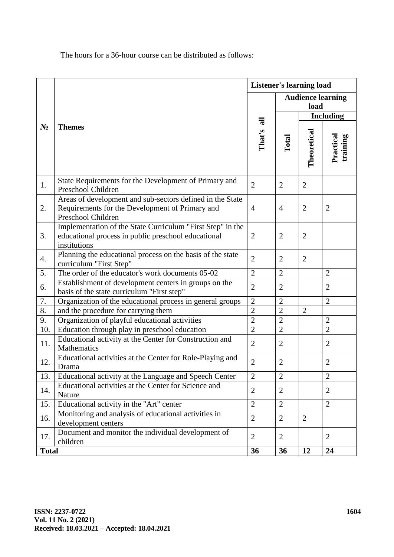The hours for a 36-hour course can be distributed as follows:

|                  |                                                                                                                                    | <b>Listener's learning load</b> |                                  |                |                       |
|------------------|------------------------------------------------------------------------------------------------------------------------------------|---------------------------------|----------------------------------|----------------|-----------------------|
| $N_2$            |                                                                                                                                    |                                 | <b>Audience learning</b><br>load |                |                       |
|                  |                                                                                                                                    |                                 | <b>Including</b>                 |                |                       |
|                  | <b>Themes</b>                                                                                                                      | That's all                      | Total                            | Theoretical    | Practical<br>training |
| 1.               | State Requirements for the Development of Primary and<br>Preschool Children                                                        | $\overline{2}$                  | $\overline{2}$                   | $\overline{2}$ |                       |
| 2.               | Areas of development and sub-sectors defined in the State<br>Requirements for the Development of Primary and<br>Preschool Children | 4                               | $\overline{4}$                   | $\overline{2}$ | $\overline{2}$        |
| 3.               | Implementation of the State Curriculum "First Step" in the<br>educational process in public preschool educational<br>institutions  | $\overline{2}$                  | $\overline{2}$                   | $\overline{2}$ |                       |
| $\overline{4}$ . | Planning the educational process on the basis of the state<br>curriculum "First Step"                                              | $\overline{2}$                  | $\overline{2}$                   | $\overline{2}$ |                       |
| 5.               | The order of the educator's work documents 05-02                                                                                   | $\overline{2}$                  | $\overline{2}$                   |                | $\overline{2}$        |
| 6.               | Establishment of development centers in groups on the<br>basis of the state curriculum "First step"                                | $\overline{2}$                  | $\overline{2}$                   |                | $\overline{2}$        |
| 7.               | Organization of the educational process in general groups                                                                          |                                 | $\overline{2}$                   |                | $\overline{2}$        |
| 8.               | and the procedure for carrying them                                                                                                |                                 | $\overline{2}$                   | $\overline{2}$ |                       |
| 9.               | Organization of playful educational activities                                                                                     |                                 | $\overline{2}$                   |                | $\overline{2}$        |
| 10.              | Education through play in preschool education                                                                                      | $\overline{2}$                  | $\overline{2}$                   |                | $\overline{2}$        |
| 11.              | Educational activity at the Center for Construction and<br>Mathematics                                                             | $\overline{2}$                  | $\overline{2}$                   |                | $\overline{2}$        |
| 12.              | Educational activities at the Center for Role-Playing and<br>Drama                                                                 | $\overline{2}$                  | $\overline{2}$                   |                | $\overline{2}$        |
| 13.              | Educational activity at the Language and Speech Center                                                                             | $\overline{2}$                  | $\overline{2}$                   |                | $\overline{2}$        |
| 14.              | Educational activities at the Center for Science and<br>Nature                                                                     | $\overline{2}$                  | $\overline{2}$                   |                | $\overline{2}$        |
| 15.              | Educational activity in the "Art" center                                                                                           | $\overline{2}$                  | $\overline{2}$                   |                | $\overline{2}$        |
| 16.              | Monitoring and analysis of educational activities in<br>development centers                                                        | $\overline{2}$                  | $\overline{2}$                   | 2              |                       |
| 17.              | Document and monitor the individual development of<br>children                                                                     | $\overline{2}$                  | $\overline{2}$                   |                | $\overline{2}$        |
| <b>Total</b>     |                                                                                                                                    |                                 | 36                               | 12             | 24                    |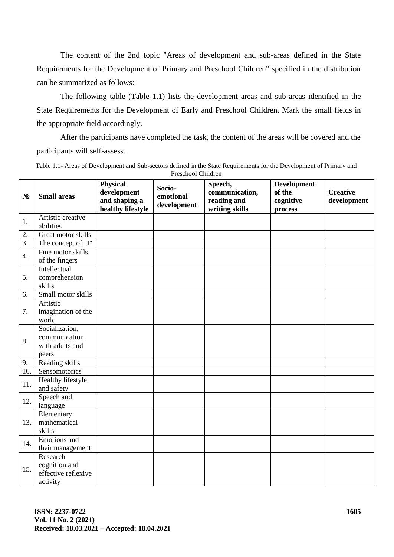The content of the 2nd topic "Areas of development and sub-areas defined in the State Requirements for the Development of Primary and Preschool Children" specified in the distribution can be summarized as follows:

The following table (Table 1.1) lists the development areas and sub-areas identified in the State Requirements for the Development of Early and Preschool Children. Mark the small fields in the appropriate field accordingly.

After the participants have completed the task, the content of the areas will be covered and the participants will self-assess.

| Table 1.1- Areas of Development and Sub-sectors defined in the State Requirements for the Development of Primary and |
|----------------------------------------------------------------------------------------------------------------------|
| Preschool Children                                                                                                   |

| $N_2$            | <b>Small areas</b>                                           | <b>Physical</b><br>development<br>and shaping a<br>healthy lifestyle | Socio-<br>emotional<br>development | Speech,<br>communication,<br>reading and<br>writing skills | <b>Development</b><br>of the<br>cognitive<br>process | <b>Creative</b><br>development |
|------------------|--------------------------------------------------------------|----------------------------------------------------------------------|------------------------------------|------------------------------------------------------------|------------------------------------------------------|--------------------------------|
| 1.               | Artistic creative<br>abilities                               |                                                                      |                                    |                                                            |                                                      |                                |
| 2.               | Great motor skills                                           |                                                                      |                                    |                                                            |                                                      |                                |
| $\overline{3}$ . | The concept of "I"                                           |                                                                      |                                    |                                                            |                                                      |                                |
| 4.               | Fine motor skills<br>of the fingers                          |                                                                      |                                    |                                                            |                                                      |                                |
| 5.               | Intellectual<br>comprehension<br>skills                      |                                                                      |                                    |                                                            |                                                      |                                |
| 6.               | Small motor skills                                           |                                                                      |                                    |                                                            |                                                      |                                |
| 7.               | Artistic<br>imagination of the<br>world                      |                                                                      |                                    |                                                            |                                                      |                                |
| 8.               | Socialization,<br>communication<br>with adults and<br>peers  |                                                                      |                                    |                                                            |                                                      |                                |
| 9.               | Reading skills                                               |                                                                      |                                    |                                                            |                                                      |                                |
| 10.              | Sensomotorics                                                |                                                                      |                                    |                                                            |                                                      |                                |
| 11.              | Healthy lifestyle<br>and safety                              |                                                                      |                                    |                                                            |                                                      |                                |
| 12.              | Speech and<br>language                                       |                                                                      |                                    |                                                            |                                                      |                                |
| 13.              | Elementary<br>mathematical<br>skills                         |                                                                      |                                    |                                                            |                                                      |                                |
| 14.              | Emotions and<br>their management                             |                                                                      |                                    |                                                            |                                                      |                                |
| 15.              | Research<br>cognition and<br>effective reflexive<br>activity |                                                                      |                                    |                                                            |                                                      |                                |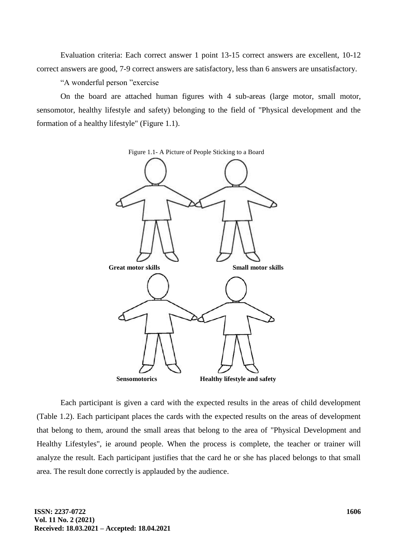Evaluation criteria: Each correct answer 1 point 13-15 correct answers are excellent, 10-12 correct answers are good, 7-9 correct answers are satisfactory, less than 6 answers are unsatisfactory.

"A wonderful person "exercise

On the board are attached human figures with 4 sub-areas (large motor, small motor, sensomotor, healthy lifestyle and safety) belonging to the field of "Physical development and the formation of a healthy lifestyle" (Figure 1.1).



Each participant is given a card with the expected results in the areas of child development (Table 1.2). Each participant places the cards with the expected results on the areas of development that belong to them, around the small areas that belong to the area of "Physical Development and Healthy Lifestyles", ie around people. When the process is complete, the teacher or trainer will analyze the result. Each participant justifies that the card he or she has placed belongs to that small area. The result done correctly is applauded by the audience.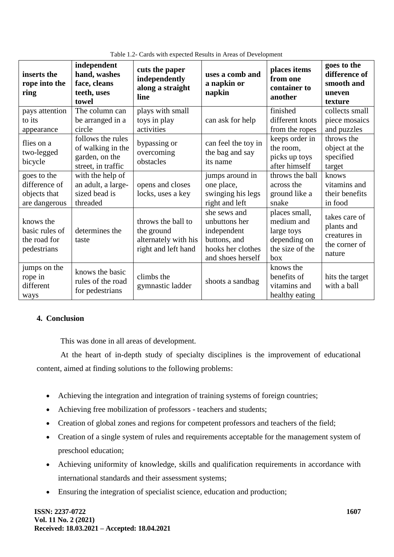| inserts the<br>rope into the<br>ring                          | independent<br>hand, washes<br>face, cleans<br>teeth, uses<br>towel            | cuts the paper<br>independently<br>along a straight<br>line                     | uses a comb and<br>a napkin or<br>napkin                                                               | places items<br>from one<br>container to<br>another                                 | goes to the<br>difference of<br>smooth and<br>uneven<br>texture        |
|---------------------------------------------------------------|--------------------------------------------------------------------------------|---------------------------------------------------------------------------------|--------------------------------------------------------------------------------------------------------|-------------------------------------------------------------------------------------|------------------------------------------------------------------------|
| pays attention                                                | The column can                                                                 | plays with small                                                                |                                                                                                        | finished                                                                            | collects small                                                         |
| to its<br>appearance                                          | be arranged in a<br>circle                                                     | toys in play<br>activities                                                      | can ask for help                                                                                       | different knots<br>from the ropes                                                   | piece mosaics<br>and puzzles                                           |
| flies on a<br>two-legged<br>bicycle                           | follows the rules<br>of walking in the<br>garden, on the<br>street, in traffic | bypassing or<br>overcoming<br>obstacles                                         | can feel the toy in<br>the bag and say<br>its name                                                     | keeps order in<br>the room,<br>picks up toys<br>after himself                       | throws the<br>object at the<br>specified<br>target                     |
| goes to the<br>difference of<br>objects that<br>are dangerous | with the help of<br>an adult, a large-<br>sized bead is<br>threaded            | opens and closes<br>locks, uses a key                                           | jumps around in<br>one place,<br>swinging his legs<br>right and left                                   | throws the ball<br>across the<br>ground like a<br>snake                             | knows<br>vitamins and<br>their benefits<br>in food                     |
| knows the<br>basic rules of<br>the road for<br>pedestrians    | determines the<br>taste                                                        | throws the ball to<br>the ground<br>alternately with his<br>right and left hand | she sews and<br>unbuttons her<br>independent<br>buttons, and<br>hooks her clothes<br>and shoes herself | places small,<br>medium and<br>large toys<br>depending on<br>the size of the<br>box | takes care of<br>plants and<br>creatures in<br>the corner of<br>nature |
| jumps on the<br>rope in<br>different<br>ways                  | knows the basic<br>rules of the road<br>for pedestrians                        | climbs the<br>gymnastic ladder                                                  | shoots a sandbag                                                                                       | knows the<br>benefits of<br>vitamins and<br>healthy eating                          | hits the target<br>with a ball                                         |

Table 1.2- Cards with expected Results in Areas of Development

# **4. Conclusion**

This was done in all areas of development.

At the heart of in-depth study of specialty disciplines is the improvement of educational content, aimed at finding solutions to the following problems:

- Achieving the integration and integration of training systems of foreign countries;
- Achieving free mobilization of professors teachers and students;
- Creation of global zones and regions for competent professors and teachers of the field;
- Creation of a single system of rules and requirements acceptable for the management system of preschool education;
- Achieving uniformity of knowledge, skills and qualification requirements in accordance with international standards and their assessment systems;
- Ensuring the integration of specialist science, education and production;